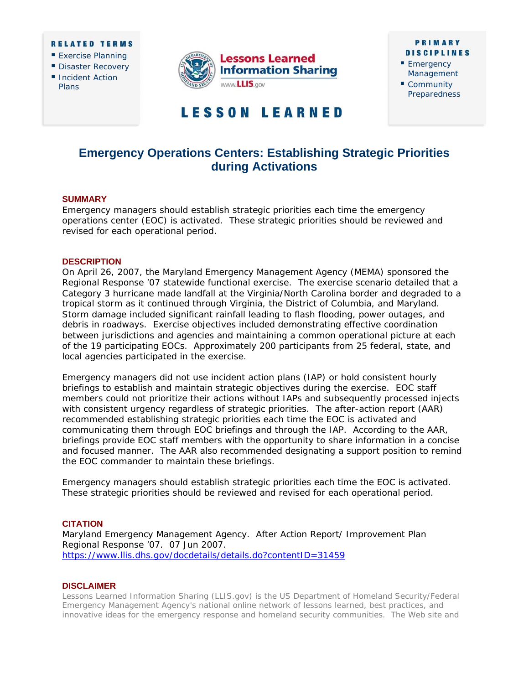#### **RELATED TERMS**

- **Exercise Planning**
- Disaster Recovery
- **Incident Action** Plans



## **PRIMARY DISCIPLINES**

- Emergency Management
- Community **Preparedness**

# **LESSON LEARNED**

# **Emergency Operations Centers: Establishing Strategic Priorities during Activations**

### **SUMMARY**

Emergency managers should establish strategic priorities each time the emergency operations center (EOC) is activated. These strategic priorities should be reviewed and revised for each operational period.

#### **DESCRIPTION**

On April 26, 2007, the Maryland Emergency Management Agency (MEMA) sponsored the Regional Response '07 statewide functional exercise. The exercise scenario detailed that a Category 3 hurricane made landfall at the Virginia/North Carolina border and degraded to a tropical storm as it continued through Virginia, the District of Columbia, and Maryland. Storm damage included significant rainfall leading to flash flooding, power outages, and debris in roadways. Exercise objectives included demonstrating effective coordination between jurisdictions and agencies and maintaining a common operational picture at each of the 19 participating EOCs. Approximately 200 participants from 25 federal, state, and local agencies participated in the exercise.

Emergency managers did not use incident action plans (IAP) or hold consistent hourly briefings to establish and maintain strategic objectives during the exercise. EOC staff members could not prioritize their actions without IAPs and subsequently processed injects with consistent urgency regardless of strategic priorities. The after-action report (AAR) recommended establishing strategic priorities each time the EOC is activated and communicating them through EOC briefings and through the IAP. According to the AAR, briefings provide EOC staff members with the opportunity to share information in a concise and focused manner. The AAR also recommended designating a support position to remind the EOC commander to maintain these briefings.

Emergency managers should establish strategic priorities each time the EOC is activated. These strategic priorities should be reviewed and revised for each operational period.

#### **CITATION**

Maryland Emergency Management Agency. *After Action Report/ Improvement Plan Regional Response '07.* 07 Jun 2007. <https://www.llis.dhs.gov/docdetails/details.do?contentID=31459>

#### **DISCLAIMER**

*Lessons Learned Information Sharing* (*LLIS.gov)* is the US Department of Homeland Security/Federal Emergency Management Agency's national online network of lessons learned, best practices, and innovative ideas for the emergency response and homeland security communities. The Web site and